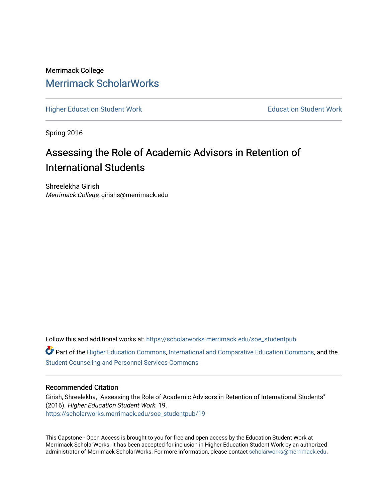Merrimack College [Merrimack ScholarWorks](https://scholarworks.merrimack.edu/) 

[Higher Education Student Work](https://scholarworks.merrimack.edu/soe_studentpub) **Education Student Work** Education Student Work

Spring 2016

# Assessing the Role of Academic Advisors in Retention of International Students

Shreelekha Girish Merrimack College, girishs@merrimack.edu

Follow this and additional works at: [https://scholarworks.merrimack.edu/soe\\_studentpub](https://scholarworks.merrimack.edu/soe_studentpub?utm_source=scholarworks.merrimack.edu%2Fsoe_studentpub%2F19&utm_medium=PDF&utm_campaign=PDFCoverPages) 

Part of the [Higher Education Commons,](http://network.bepress.com/hgg/discipline/1245?utm_source=scholarworks.merrimack.edu%2Fsoe_studentpub%2F19&utm_medium=PDF&utm_campaign=PDFCoverPages) [International and Comparative Education Commons,](http://network.bepress.com/hgg/discipline/797?utm_source=scholarworks.merrimack.edu%2Fsoe_studentpub%2F19&utm_medium=PDF&utm_campaign=PDFCoverPages) and the [Student Counseling and Personnel Services Commons](http://network.bepress.com/hgg/discipline/802?utm_source=scholarworks.merrimack.edu%2Fsoe_studentpub%2F19&utm_medium=PDF&utm_campaign=PDFCoverPages)

#### Recommended Citation

Girish, Shreelekha, "Assessing the Role of Academic Advisors in Retention of International Students" (2016). Higher Education Student Work. 19. [https://scholarworks.merrimack.edu/soe\\_studentpub/19](https://scholarworks.merrimack.edu/soe_studentpub/19?utm_source=scholarworks.merrimack.edu%2Fsoe_studentpub%2F19&utm_medium=PDF&utm_campaign=PDFCoverPages) 

This Capstone - Open Access is brought to you for free and open access by the Education Student Work at Merrimack ScholarWorks. It has been accepted for inclusion in Higher Education Student Work by an authorized administrator of Merrimack ScholarWorks. For more information, please contact [scholarworks@merrimack.edu](mailto:scholarworks@merrimack.edu).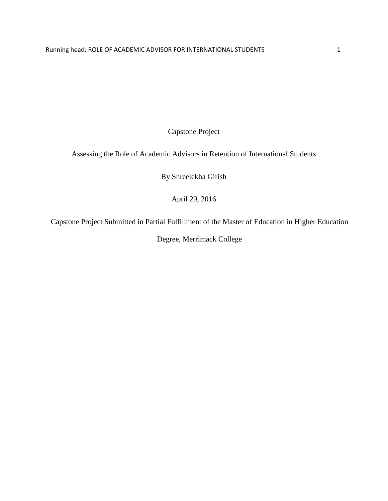Capstone Project

Assessing the Role of Academic Advisors in Retention of International Students

By Shreelekha Girish

April 29, 2016

Capstone Project Submitted in Partial Fulfillment of the Master of Education in Higher Education

Degree, Merrimack College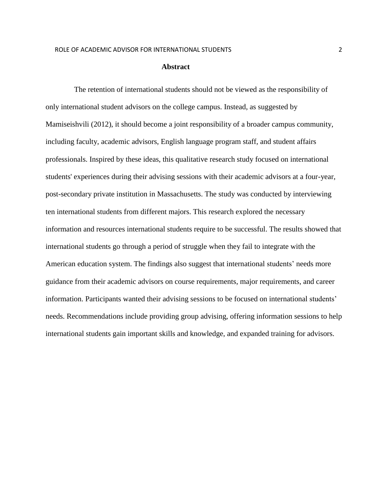#### **Abstract**

The retention of international students should not be viewed as the responsibility of only international student advisors on the college campus. Instead, as suggested by Mamiseishvili (2012), it should become a joint responsibility of a broader campus community, including faculty, academic advisors, English language program staff, and student affairs professionals. Inspired by these ideas, this qualitative research study focused on international students' experiences during their advising sessions with their academic advisors at a four-year, post-secondary private institution in Massachusetts. The study was conducted by interviewing ten international students from different majors. This research explored the necessary information and resources international students require to be successful. The results showed that international students go through a period of struggle when they fail to integrate with the American education system. The findings also suggest that international students' needs more guidance from their academic advisors on course requirements, major requirements, and career information. Participants wanted their advising sessions to be focused on international students' needs. Recommendations include providing group advising, offering information sessions to help international students gain important skills and knowledge, and expanded training for advisors.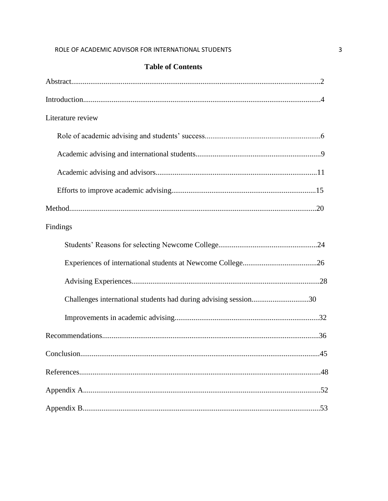### **Table of Contents**

| Literature review                                               |
|-----------------------------------------------------------------|
|                                                                 |
|                                                                 |
|                                                                 |
|                                                                 |
|                                                                 |
| Findings                                                        |
|                                                                 |
|                                                                 |
|                                                                 |
| Challenges international students had during advising session30 |
|                                                                 |
|                                                                 |
|                                                                 |
|                                                                 |
|                                                                 |
|                                                                 |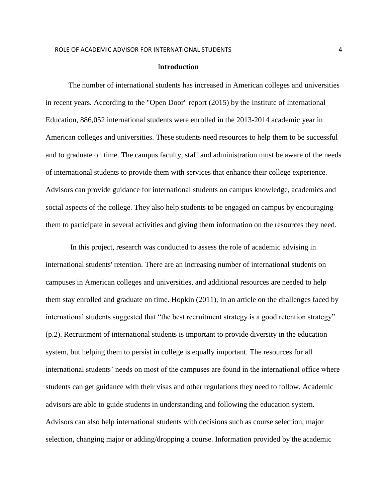#### I**ntroduction**

 The number of international students has increased in American colleges and universities in recent years. According to the "Open Door" report (2015) by the Institute of International Education, 886,052 international students were enrolled in the 2013-2014 academic year in American colleges and universities. These students need resources to help them to be successful and to graduate on time. The campus faculty, staff and administration must be aware of the needs of international students to provide them with services that enhance their college experience. Advisors can provide guidance for international students on campus knowledge, academics and social aspects of the college. They also help students to be engaged on campus by encouraging them to participate in several activities and giving them information on the resources they need.

 In this project, research was conducted to assess the role of academic advising in international students' retention. There are an increasing number of international students on campuses in American colleges and universities, and additional resources are needed to help them stay enrolled and graduate on time. Hopkin (2011), in an article on the challenges faced by international students suggested that "the best recruitment strategy is a good retention strategy" (p.2). Recruitment of international students is important to provide diversity in the education system, but helping them to persist in college is equally important. The resources for all international students' needs on most of the campuses are found in the international office where students can get guidance with their visas and other regulations they need to follow. Academic advisors are able to guide students in understanding and following the education system. Advisors can also help international students with decisions such as course selection, major selection, changing major or adding/dropping a course. Information provided by the academic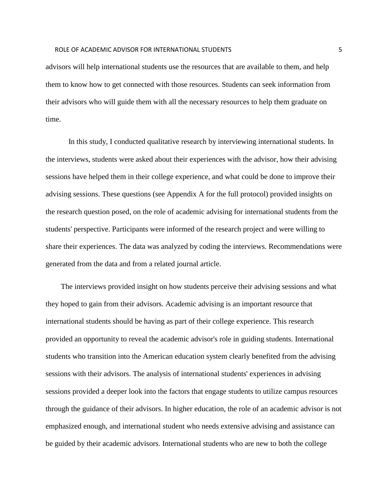#### ROLE OF ACADEMIC ADVISOR FOR INTERNATIONAL STUDENTS **FOR A SAMPLE 2006** S

advisors will help international students use the resources that are available to them, and help them to know how to get connected with those resources. Students can seek information from their advisors who will guide them with all the necessary resources to help them graduate on time.

 In this study, I conducted qualitative research by interviewing international students. In the interviews, students were asked about their experiences with the advisor, how their advising sessions have helped them in their college experience, and what could be done to improve their advising sessions. These questions (see Appendix A for the full protocol) provided insights on the research question posed, on the role of academic advising for international students from the students' perspective. Participants were informed of the research project and were willing to share their experiences. The data was analyzed by coding the interviews. Recommendations were generated from the data and from a related journal article.

 The interviews provided insight on how students perceive their advising sessions and what they hoped to gain from their advisors. Academic advising is an important resource that international students should be having as part of their college experience. This research provided an opportunity to reveal the academic advisor's role in guiding students. International students who transition into the American education system clearly benefited from the advising sessions with their advisors. The analysis of international students' experiences in advising sessions provided a deeper look into the factors that engage students to utilize campus resources through the guidance of their advisors. In higher education, the role of an academic advisor is not emphasized enough, and international student who needs extensive advising and assistance can be guided by their academic advisors. International students who are new to both the college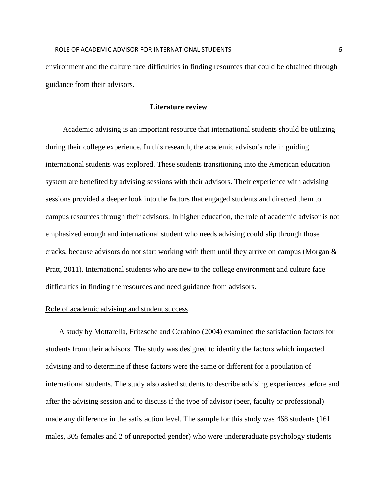environment and the culture face difficulties in finding resources that could be obtained through guidance from their advisors.

#### **Literature review**

 Academic advising is an important resource that international students should be utilizing during their college experience. In this research, the academic advisor's role in guiding international students was explored. These students transitioning into the American education system are benefited by advising sessions with their advisors. Their experience with advising sessions provided a deeper look into the factors that engaged students and directed them to campus resources through their advisors. In higher education, the role of academic advisor is not emphasized enough and international student who needs advising could slip through those cracks, because advisors do not start working with them until they arrive on campus (Morgan  $\&$ Pratt, 2011). International students who are new to the college environment and culture face difficulties in finding the resources and need guidance from advisors.

#### Role of academic advising and student success

 A study by Mottarella, Fritzsche and Cerabino (2004) examined the satisfaction factors for students from their advisors. The study was designed to identify the factors which impacted advising and to determine if these factors were the same or different for a population of international students. The study also asked students to describe advising experiences before and after the advising session and to discuss if the type of advisor (peer, faculty or professional) made any difference in the satisfaction level. The sample for this study was 468 students (161 males, 305 females and 2 of unreported gender) who were undergraduate psychology students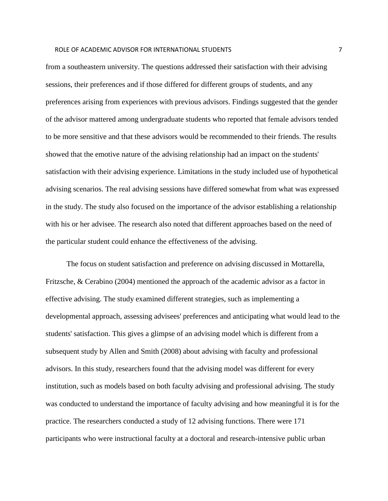#### ROLE OF ACADEMIC ADVISOR FOR INTERNATIONAL STUDENTS **THE STATE OF A STATE ASSAULT** 7

from a southeastern university. The questions addressed their satisfaction with their advising sessions, their preferences and if those differed for different groups of students, and any preferences arising from experiences with previous advisors. Findings suggested that the gender of the advisor mattered among undergraduate students who reported that female advisors tended to be more sensitive and that these advisors would be recommended to their friends. The results showed that the emotive nature of the advising relationship had an impact on the students' satisfaction with their advising experience. Limitations in the study included use of hypothetical advising scenarios. The real advising sessions have differed somewhat from what was expressed in the study. The study also focused on the importance of the advisor establishing a relationship with his or her advisee. The research also noted that different approaches based on the need of the particular student could enhance the effectiveness of the advising.

 The focus on student satisfaction and preference on advising discussed in Mottarella, Fritzsche, & Cerabino (2004) mentioned the approach of the academic advisor as a factor in effective advising. The study examined different strategies, such as implementing a developmental approach, assessing advisees' preferences and anticipating what would lead to the students' satisfaction. This gives a glimpse of an advising model which is different from a subsequent study by Allen and Smith (2008) about advising with faculty and professional advisors. In this study, researchers found that the advising model was different for every institution, such as models based on both faculty advising and professional advising. The study was conducted to understand the importance of faculty advising and how meaningful it is for the practice. The researchers conducted a study of 12 advising functions. There were 171 participants who were instructional faculty at a doctoral and research-intensive public urban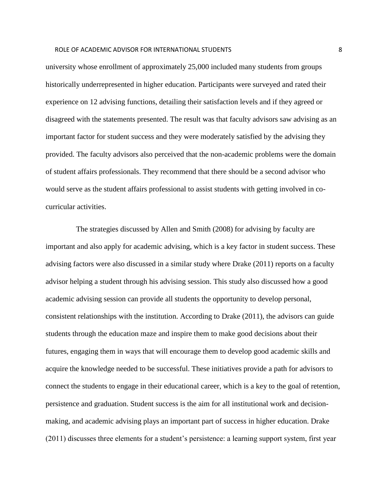#### ROLE OF ACADEMIC ADVISOR FOR INTERNATIONAL STUDENTS **8** 8

university whose enrollment of approximately 25,000 included many students from groups historically underrepresented in higher education. Participants were surveyed and rated their experience on 12 advising functions, detailing their satisfaction levels and if they agreed or disagreed with the statements presented. The result was that faculty advisors saw advising as an important factor for student success and they were moderately satisfied by the advising they provided. The faculty advisors also perceived that the non-academic problems were the domain of student affairs professionals. They recommend that there should be a second advisor who would serve as the student affairs professional to assist students with getting involved in cocurricular activities.

 The strategies discussed by Allen and Smith (2008) for advising by faculty are important and also apply for academic advising, which is a key factor in student success. These advising factors were also discussed in a similar study where Drake (2011) reports on a faculty advisor helping a student through his advising session. This study also discussed how a good academic advising session can provide all students the opportunity to develop personal, consistent relationships with the institution. According to Drake (2011), the advisors can guide students through the education maze and inspire them to make good decisions about their futures, engaging them in ways that will encourage them to develop good academic skills and acquire the knowledge needed to be successful. These initiatives provide a path for advisors to connect the students to engage in their educational career, which is a key to the goal of retention, persistence and graduation. Student success is the aim for all institutional work and decisionmaking, and academic advising plays an important part of success in higher education. Drake (2011) discusses three elements for a student's persistence: a learning support system, first year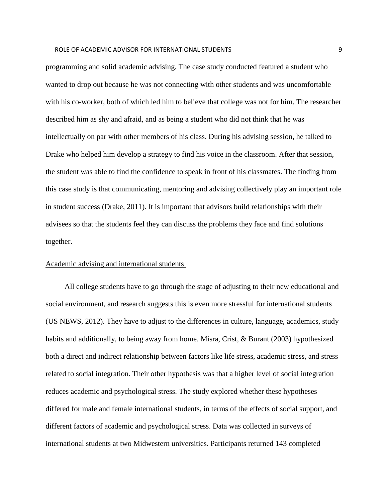#### ROLE OF ACADEMIC ADVISOR FOR INTERNATIONAL STUDENTS 9

programming and solid academic advising. The case study conducted featured a student who wanted to drop out because he was not connecting with other students and was uncomfortable with his co-worker, both of which led him to believe that college was not for him. The researcher described him as shy and afraid, and as being a student who did not think that he was intellectually on par with other members of his class. During his advising session, he talked to Drake who helped him develop a strategy to find his voice in the classroom. After that session, the student was able to find the confidence to speak in front of his classmates. The finding from this case study is that communicating, mentoring and advising collectively play an important role in student success (Drake, 2011). It is important that advisors build relationships with their advisees so that the students feel they can discuss the problems they face and find solutions together.

#### Academic advising and international students

 All college students have to go through the stage of adjusting to their new educational and social environment, and research suggests this is even more stressful for international students (US NEWS, 2012). They have to adjust to the differences in culture, language, academics, study habits and additionally, to being away from home. Misra, Crist, & Burant (2003) hypothesized both a direct and indirect relationship between factors like life stress, academic stress, and stress related to social integration. Their other hypothesis was that a higher level of social integration reduces academic and psychological stress. The study explored whether these hypotheses differed for male and female international students, in terms of the effects of social support, and different factors of academic and psychological stress. Data was collected in surveys of international students at two Midwestern universities. Participants returned 143 completed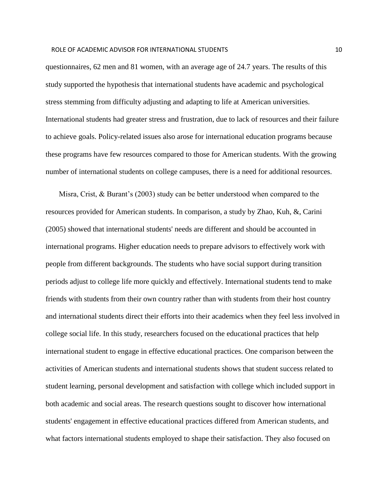questionnaires, 62 men and 81 women, with an average age of 24.7 years. The results of this study supported the hypothesis that international students have academic and psychological stress stemming from difficulty adjusting and adapting to life at American universities. International students had greater stress and frustration, due to lack of resources and their failure to achieve goals. Policy-related issues also arose for international education programs because these programs have few resources compared to those for American students. With the growing number of international students on college campuses, there is a need for additional resources.

 Misra, Crist, & Burant's (2003) study can be better understood when compared to the resources provided for American students. In comparison, a study by Zhao, Kuh, &, Carini (2005) showed that international students' needs are different and should be accounted in international programs. Higher education needs to prepare advisors to effectively work with people from different backgrounds. The students who have social support during transition periods adjust to college life more quickly and effectively. International students tend to make friends with students from their own country rather than with students from their host country and international students direct their efforts into their academics when they feel less involved in college social life. In this study, researchers focused on the educational practices that help international student to engage in effective educational practices. One comparison between the activities of American students and international students shows that student success related to student learning, personal development and satisfaction with college which included support in both academic and social areas. The research questions sought to discover how international students' engagement in effective educational practices differed from American students, and what factors international students employed to shape their satisfaction. They also focused on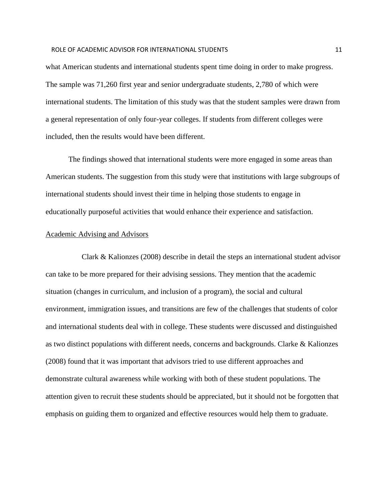#### ROLE OF ACADEMIC ADVISOR FOR INTERNATIONAL STUDENTS **11** And the studies of the studies of the studies of the studies of the studies of the studies of the studies of the studies of the studies of the studies of the studies

what American students and international students spent time doing in order to make progress. The sample was 71,260 first year and senior undergraduate students, 2,780 of which were international students. The limitation of this study was that the student samples were drawn from a general representation of only four-year colleges. If students from different colleges were included, then the results would have been different.

The findings showed that international students were more engaged in some areas than American students. The suggestion from this study were that institutions with large subgroups of international students should invest their time in helping those students to engage in educationally purposeful activities that would enhance their experience and satisfaction.

#### Academic Advising and Advisors

 Clark & Kalionzes (2008) describe in detail the steps an international student advisor can take to be more prepared for their advising sessions. They mention that the academic situation (changes in curriculum, and inclusion of a program), the social and cultural environment, immigration issues, and transitions are few of the challenges that students of color and international students deal with in college. These students were discussed and distinguished as two distinct populations with different needs, concerns and backgrounds. Clarke & Kalionzes (2008) found that it was important that advisors tried to use different approaches and demonstrate cultural awareness while working with both of these student populations. The attention given to recruit these students should be appreciated, but it should not be forgotten that emphasis on guiding them to organized and effective resources would help them to graduate.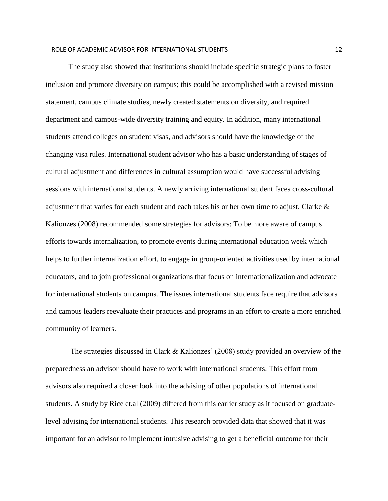The study also showed that institutions should include specific strategic plans to foster inclusion and promote diversity on campus; this could be accomplished with a revised mission statement, campus climate studies, newly created statements on diversity, and required department and campus-wide diversity training and equity. In addition, many international students attend colleges on student visas, and advisors should have the knowledge of the changing visa rules. International student advisor who has a basic understanding of stages of cultural adjustment and differences in cultural assumption would have successful advising sessions with international students. A newly arriving international student faces cross-cultural adjustment that varies for each student and each takes his or her own time to adjust. Clarke  $\&$ Kalionzes (2008) recommended some strategies for advisors: To be more aware of campus efforts towards internalization, to promote events during international education week which helps to further internalization effort, to engage in group-oriented activities used by international educators, and to join professional organizations that focus on internationalization and advocate for international students on campus. The issues international students face require that advisors and campus leaders reevaluate their practices and programs in an effort to create a more enriched community of learners.

 The strategies discussed in Clark & Kalionzes' (2008) study provided an overview of the preparedness an advisor should have to work with international students. This effort from advisors also required a closer look into the advising of other populations of international students. A study by Rice et.al (2009) differed from this earlier study as it focused on graduatelevel advising for international students. This research provided data that showed that it was important for an advisor to implement intrusive advising to get a beneficial outcome for their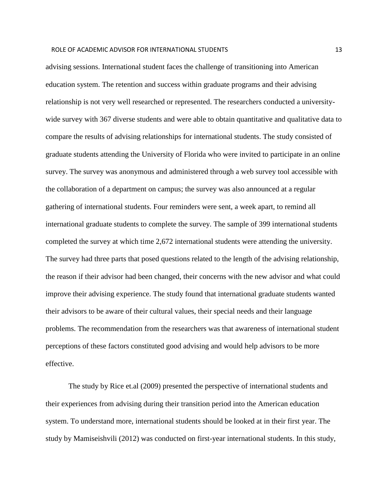#### ROLE OF ACADEMIC ADVISOR FOR INTERNATIONAL STUDENTS TO A 13 AM AND 13

advising sessions. International student faces the challenge of transitioning into American education system. The retention and success within graduate programs and their advising relationship is not very well researched or represented. The researchers conducted a universitywide survey with 367 diverse students and were able to obtain quantitative and qualitative data to compare the results of advising relationships for international students. The study consisted of graduate students attending the University of Florida who were invited to participate in an online survey. The survey was anonymous and administered through a web survey tool accessible with the collaboration of a department on campus; the survey was also announced at a regular gathering of international students. Four reminders were sent, a week apart, to remind all international graduate students to complete the survey. The sample of 399 international students completed the survey at which time 2,672 international students were attending the university. The survey had three parts that posed questions related to the length of the advising relationship, the reason if their advisor had been changed, their concerns with the new advisor and what could improve their advising experience. The study found that international graduate students wanted their advisors to be aware of their cultural values, their special needs and their language problems. The recommendation from the researchers was that awareness of international student perceptions of these factors constituted good advising and would help advisors to be more effective.

 The study by Rice et.al (2009) presented the perspective of international students and their experiences from advising during their transition period into the American education system. To understand more, international students should be looked at in their first year. The study by Mamiseishvili (2012) was conducted on first-year international students. In this study,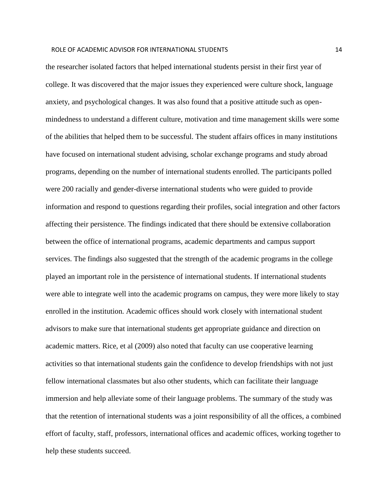#### ROLE OF ACADEMIC ADVISOR FOR INTERNATIONAL STUDENTS THE STATE ROLL OF ACADEMIC ADVISOR FOR INTERNATIONAL STUDENTS

the researcher isolated factors that helped international students persist in their first year of college. It was discovered that the major issues they experienced were culture shock, language anxiety, and psychological changes. It was also found that a positive attitude such as openmindedness to understand a different culture, motivation and time management skills were some of the abilities that helped them to be successful. The student affairs offices in many institutions have focused on international student advising, scholar exchange programs and study abroad programs, depending on the number of international students enrolled. The participants polled were 200 racially and gender-diverse international students who were guided to provide information and respond to questions regarding their profiles, social integration and other factors affecting their persistence. The findings indicated that there should be extensive collaboration between the office of international programs, academic departments and campus support services. The findings also suggested that the strength of the academic programs in the college played an important role in the persistence of international students. If international students were able to integrate well into the academic programs on campus, they were more likely to stay enrolled in the institution. Academic offices should work closely with international student advisors to make sure that international students get appropriate guidance and direction on academic matters. Rice, et al (2009) also noted that faculty can use cooperative learning activities so that international students gain the confidence to develop friendships with not just fellow international classmates but also other students, which can facilitate their language immersion and help alleviate some of their language problems. The summary of the study was that the retention of international students was a joint responsibility of all the offices, a combined effort of faculty, staff, professors, international offices and academic offices, working together to help these students succeed.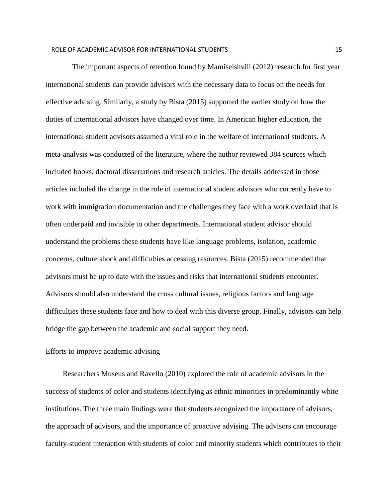The important aspects of retention found by Mamiseishvili (2012) research for first year international students can provide advisors with the necessary data to focus on the needs for effective advising. Similarly, a study by Bista (2015) supported the earlier study on how the duties of international advisors have changed over time. In American higher education, the international student advisors assumed a vital role in the welfare of international students. A meta-analysis was conducted of the literature, where the author reviewed 384 sources which included books, doctoral dissertations and research articles. The details addressed in those articles included the change in the role of international student advisors who currently have to work with immigration documentation and the challenges they face with a work overload that is often underpaid and invisible to other departments. International student advisor should understand the problems these students have like language problems, isolation, academic concerns, culture shock and difficulties accessing resources. Bista (2015) recommended that advisors must be up to date with the issues and risks that international students encounter. Advisors should also understand the cross cultural issues, religious factors and language difficulties these students face and how to deal with this diverse group. Finally, advisors can help bridge the gap between the academic and social support they need.

#### Efforts to improve academic advising

 Researchers Museus and Ravello (2010) explored the role of academic advisors in the success of students of color and students identifying as ethnic minorities in predominantly white institutions. The three main findings were that students recognized the importance of advisors, the approach of advisors, and the importance of proactive advising. The advisors can encourage faculty-student interaction with students of color and minority students which contributes to their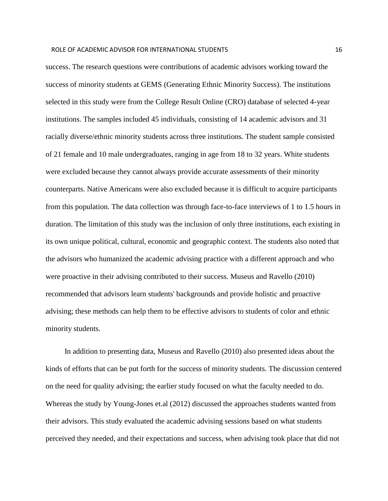success. The research questions were contributions of academic advisors working toward the success of minority students at GEMS (Generating Ethnic Minority Success). The institutions selected in this study were from the College Result Online (CRO) database of selected 4-year institutions. The samples included 45 individuals, consisting of 14 academic advisors and 31 racially diverse/ethnic minority students across three institutions. The student sample consisted of 21 female and 10 male undergraduates, ranging in age from 18 to 32 years. White students were excluded because they cannot always provide accurate assessments of their minority counterparts. Native Americans were also excluded because it is difficult to acquire participants from this population. The data collection was through face-to-face interviews of 1 to 1.5 hours in duration. The limitation of this study was the inclusion of only three institutions, each existing in its own unique political, cultural, economic and geographic context. The students also noted that the advisors who humanized the academic advising practice with a different approach and who were proactive in their advising contributed to their success. Museus and Ravello (2010) recommended that advisors learn students' backgrounds and provide holistic and proactive advising; these methods can help them to be effective advisors to students of color and ethnic minority students.

 In addition to presenting data, Museus and Ravello (2010) also presented ideas about the kinds of efforts that can be put forth for the success of minority students. The discussion centered on the need for quality advising; the earlier study focused on what the faculty needed to do. Whereas the study by Young-Jones et.al (2012) discussed the approaches students wanted from their advisors. This study evaluated the academic advising sessions based on what students perceived they needed, and their expectations and success, when advising took place that did not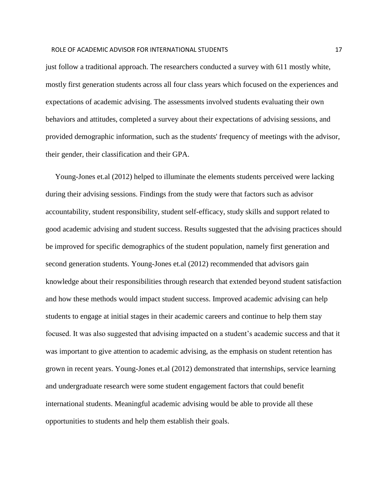#### ROLE OF ACADEMIC ADVISOR FOR INTERNATIONAL STUDENTS And the state of the state of the state of the state of th

just follow a traditional approach. The researchers conducted a survey with 611 mostly white, mostly first generation students across all four class years which focused on the experiences and expectations of academic advising. The assessments involved students evaluating their own behaviors and attitudes, completed a survey about their expectations of advising sessions, and provided demographic information, such as the students' frequency of meetings with the advisor, their gender, their classification and their GPA.

 Young-Jones et.al (2012) helped to illuminate the elements students perceived were lacking during their advising sessions. Findings from the study were that factors such as advisor accountability, student responsibility, student self-efficacy, study skills and support related to good academic advising and student success. Results suggested that the advising practices should be improved for specific demographics of the student population, namely first generation and second generation students. Young-Jones et.al (2012) recommended that advisors gain knowledge about their responsibilities through research that extended beyond student satisfaction and how these methods would impact student success. Improved academic advising can help students to engage at initial stages in their academic careers and continue to help them stay focused. It was also suggested that advising impacted on a student's academic success and that it was important to give attention to academic advising, as the emphasis on student retention has grown in recent years. Young-Jones et.al (2012) demonstrated that internships, service learning and undergraduate research were some student engagement factors that could benefit international students. Meaningful academic advising would be able to provide all these opportunities to students and help them establish their goals.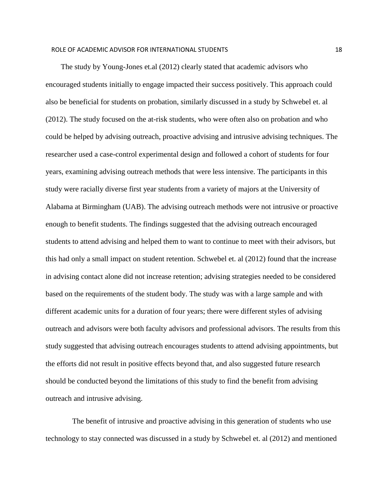The study by Young-Jones et.al (2012) clearly stated that academic advisors who encouraged students initially to engage impacted their success positively. This approach could also be beneficial for students on probation, similarly discussed in a study by Schwebel et. al (2012). The study focused on the at-risk students, who were often also on probation and who could be helped by advising outreach, proactive advising and intrusive advising techniques. The researcher used a case-control experimental design and followed a cohort of students for four years, examining advising outreach methods that were less intensive. The participants in this study were racially diverse first year students from a variety of majors at the University of Alabama at Birmingham (UAB). The advising outreach methods were not intrusive or proactive enough to benefit students. The findings suggested that the advising outreach encouraged students to attend advising and helped them to want to continue to meet with their advisors, but this had only a small impact on student retention. Schwebel et. al (2012) found that the increase in advising contact alone did not increase retention; advising strategies needed to be considered based on the requirements of the student body. The study was with a large sample and with different academic units for a duration of four years; there were different styles of advising outreach and advisors were both faculty advisors and professional advisors. The results from this study suggested that advising outreach encourages students to attend advising appointments, but the efforts did not result in positive effects beyond that, and also suggested future research should be conducted beyond the limitations of this study to find the benefit from advising outreach and intrusive advising.

 The benefit of intrusive and proactive advising in this generation of students who use technology to stay connected was discussed in a study by Schwebel et. al (2012) and mentioned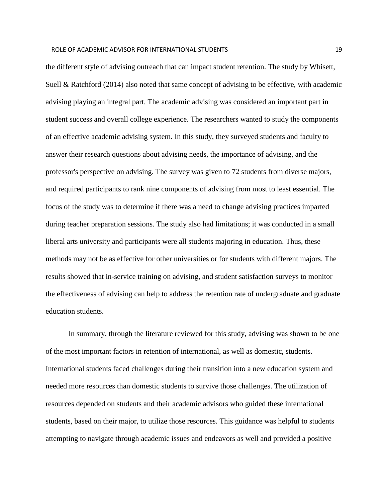the different style of advising outreach that can impact student retention. The study by Whisett, Suell & Ratchford (2014) also noted that same concept of advising to be effective, with academic advising playing an integral part. The academic advising was considered an important part in student success and overall college experience. The researchers wanted to study the components of an effective academic advising system. In this study, they surveyed students and faculty to answer their research questions about advising needs, the importance of advising, and the professor's perspective on advising. The survey was given to 72 students from diverse majors, and required participants to rank nine components of advising from most to least essential. The focus of the study was to determine if there was a need to change advising practices imparted during teacher preparation sessions. The study also had limitations; it was conducted in a small liberal arts university and participants were all students majoring in education. Thus, these methods may not be as effective for other universities or for students with different majors. The results showed that in-service training on advising, and student satisfaction surveys to monitor the effectiveness of advising can help to address the retention rate of undergraduate and graduate education students.

 In summary, through the literature reviewed for this study, advising was shown to be one of the most important factors in retention of international, as well as domestic, students. International students faced challenges during their transition into a new education system and needed more resources than domestic students to survive those challenges. The utilization of resources depended on students and their academic advisors who guided these international students, based on their major, to utilize those resources. This guidance was helpful to students attempting to navigate through academic issues and endeavors as well and provided a positive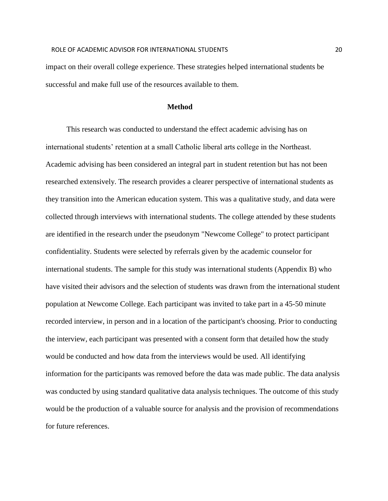impact on their overall college experience. These strategies helped international students be successful and make full use of the resources available to them.

#### **Method**

 This research was conducted to understand the effect academic advising has on international students' retention at a small Catholic liberal arts college in the Northeast. Academic advising has been considered an integral part in student retention but has not been researched extensively. The research provides a clearer perspective of international students as they transition into the American education system. This was a qualitative study, and data were collected through interviews with international students. The college attended by these students are identified in the research under the pseudonym "Newcome College" to protect participant confidentiality. Students were selected by referrals given by the academic counselor for international students. The sample for this study was international students (Appendix B) who have visited their advisors and the selection of students was drawn from the international student population at Newcome College. Each participant was invited to take part in a 45-50 minute recorded interview, in person and in a location of the participant's choosing. Prior to conducting the interview, each participant was presented with a consent form that detailed how the study would be conducted and how data from the interviews would be used. All identifying information for the participants was removed before the data was made public. The data analysis was conducted by using standard qualitative data analysis techniques. The outcome of this study would be the production of a valuable source for analysis and the provision of recommendations for future references.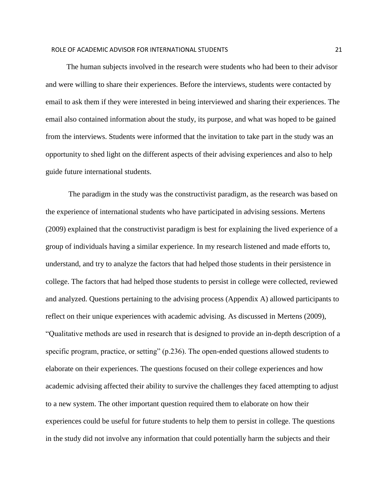The human subjects involved in the research were students who had been to their advisor and were willing to share their experiences. Before the interviews, students were contacted by email to ask them if they were interested in being interviewed and sharing their experiences. The email also contained information about the study, its purpose, and what was hoped to be gained from the interviews. Students were informed that the invitation to take part in the study was an opportunity to shed light on the different aspects of their advising experiences and also to help guide future international students.

 The paradigm in the study was the constructivist paradigm, as the research was based on the experience of international students who have participated in advising sessions. Mertens (2009) explained that the constructivist paradigm is best for explaining the lived experience of a group of individuals having a similar experience. In my research listened and made efforts to, understand, and try to analyze the factors that had helped those students in their persistence in college. The factors that had helped those students to persist in college were collected, reviewed and analyzed. Questions pertaining to the advising process (Appendix A) allowed participants to reflect on their unique experiences with academic advising. As discussed in Mertens (2009), "Qualitative methods are used in research that is designed to provide an in-depth description of a specific program, practice, or setting" (p.236). The open-ended questions allowed students to elaborate on their experiences. The questions focused on their college experiences and how academic advising affected their ability to survive the challenges they faced attempting to adjust to a new system. The other important question required them to elaborate on how their experiences could be useful for future students to help them to persist in college. The questions in the study did not involve any information that could potentially harm the subjects and their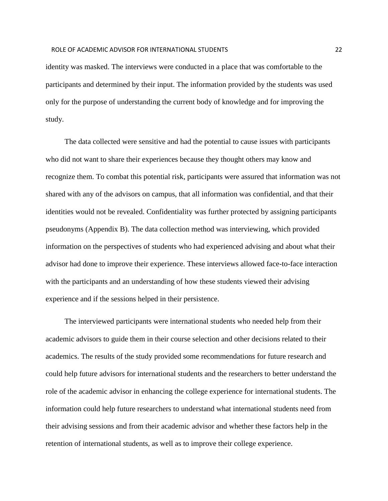identity was masked. The interviews were conducted in a place that was comfortable to the participants and determined by their input. The information provided by the students was used only for the purpose of understanding the current body of knowledge and for improving the study.

 The data collected were sensitive and had the potential to cause issues with participants who did not want to share their experiences because they thought others may know and recognize them. To combat this potential risk, participants were assured that information was not shared with any of the advisors on campus, that all information was confidential, and that their identities would not be revealed. Confidentiality was further protected by assigning participants pseudonyms (Appendix B). The data collection method was interviewing, which provided information on the perspectives of students who had experienced advising and about what their advisor had done to improve their experience. These interviews allowed face-to-face interaction with the participants and an understanding of how these students viewed their advising experience and if the sessions helped in their persistence.

 The interviewed participants were international students who needed help from their academic advisors to guide them in their course selection and other decisions related to their academics. The results of the study provided some recommendations for future research and could help future advisors for international students and the researchers to better understand the role of the academic advisor in enhancing the college experience for international students. The information could help future researchers to understand what international students need from their advising sessions and from their academic advisor and whether these factors help in the retention of international students, as well as to improve their college experience.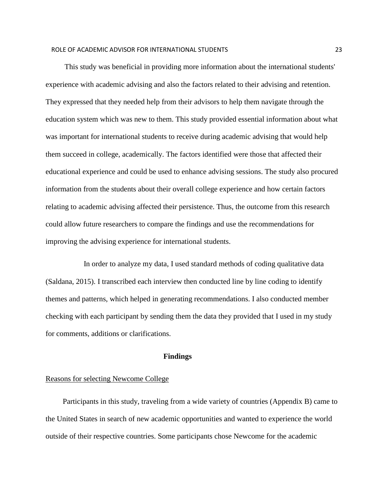This study was beneficial in providing more information about the international students' experience with academic advising and also the factors related to their advising and retention. They expressed that they needed help from their advisors to help them navigate through the education system which was new to them. This study provided essential information about what was important for international students to receive during academic advising that would help them succeed in college, academically. The factors identified were those that affected their educational experience and could be used to enhance advising sessions. The study also procured information from the students about their overall college experience and how certain factors relating to academic advising affected their persistence. Thus, the outcome from this research could allow future researchers to compare the findings and use the recommendations for improving the advising experience for international students.

 In order to analyze my data, I used standard methods of coding qualitative data (Saldana, 2015). I transcribed each interview then conducted line by line coding to identify themes and patterns, which helped in generating recommendations. I also conducted member checking with each participant by sending them the data they provided that I used in my study for comments, additions or clarifications.

#### **Findings**

#### Reasons for selecting Newcome College

 Participants in this study, traveling from a wide variety of countries (Appendix B) came to the United States in search of new academic opportunities and wanted to experience the world outside of their respective countries. Some participants chose Newcome for the academic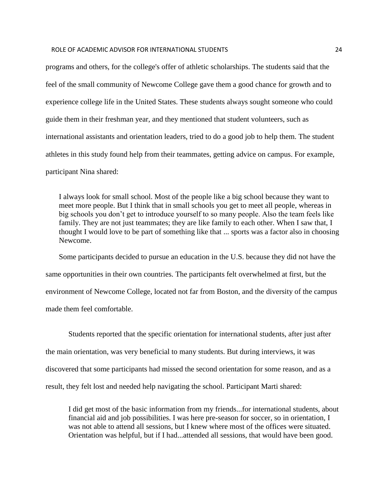#### ROLE OF ACADEMIC ADVISOR FOR INTERNATIONAL STUDENTS 24

programs and others, for the college's offer of athletic scholarships. The students said that the feel of the small community of Newcome College gave them a good chance for growth and to experience college life in the United States. These students always sought someone who could guide them in their freshman year, and they mentioned that student volunteers, such as international assistants and orientation leaders, tried to do a good job to help them. The student athletes in this study found help from their teammates, getting advice on campus. For example, participant Nina shared:

I always look for small school. Most of the people like a big school because they want to meet more people. But I think that in small schools you get to meet all people, whereas in big schools you don't get to introduce yourself to so many people. Also the team feels like family. They are not just teammates; they are like family to each other. When I saw that, I thought I would love to be part of something like that ... sports was a factor also in choosing Newcome.

Some participants decided to pursue an education in the U.S. because they did not have the same opportunities in their own countries. The participants felt overwhelmed at first, but the environment of Newcome College, located not far from Boston, and the diversity of the campus made them feel comfortable.

 Students reported that the specific orientation for international students, after just after the main orientation, was very beneficial to many students. But during interviews, it was discovered that some participants had missed the second orientation for some reason, and as a result, they felt lost and needed help navigating the school. Participant Marti shared:

I did get most of the basic information from my friends...for international students, about financial aid and job possibilities. I was here pre-season for soccer, so in orientation, I was not able to attend all sessions, but I knew where most of the offices were situated. Orientation was helpful, but if I had...attended all sessions, that would have been good.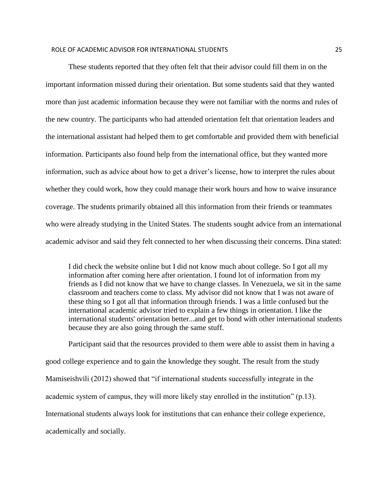These students reported that they often felt that their advisor could fill them in on the important information missed during their orientation. But some students said that they wanted more than just academic information because they were not familiar with the norms and rules of the new country. The participants who had attended orientation felt that orientation leaders and the international assistant had helped them to get comfortable and provided them with beneficial information. Participants also found help from the international office, but they wanted more information, such as advice about how to get a driver's license, how to interpret the rules about whether they could work, how they could manage their work hours and how to waive insurance coverage. The students primarily obtained all this information from their friends or teammates who were already studying in the United States. The students sought advice from an international academic advisor and said they felt connected to her when discussing their concerns. Dina stated:

I did check the website online but I did not know much about college. So I got all my information after coming here after orientation. I found lot of information from my friends as I did not know that we have to change classes. In Venezuela, we sit in the same classroom and teachers come to class. My advisor did not know that I was not aware of these thing so I got all that information through friends. I was a little confused but the international academic advisor tried to explain a few things in orientation. I like the international students' orientation better...and get to bond with other international students because they are also going through the same stuff.

Participant said that the resources provided to them were able to assist them in having a good college experience and to gain the knowledge they sought. The result from the study Mamiseishvili (2012) showed that "if international students successfully integrate in the academic system of campus, they will more likely stay enrolled in the institution" (p.13). International students always look for institutions that can enhance their college experience, academically and socially.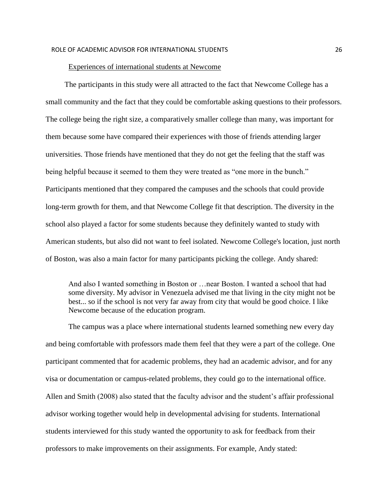#### Experiences of international students at Newcome

 The participants in this study were all attracted to the fact that Newcome College has a small community and the fact that they could be comfortable asking questions to their professors. The college being the right size, a comparatively smaller college than many, was important for them because some have compared their experiences with those of friends attending larger universities. Those friends have mentioned that they do not get the feeling that the staff was being helpful because it seemed to them they were treated as "one more in the bunch." Participants mentioned that they compared the campuses and the schools that could provide long-term growth for them, and that Newcome College fit that description. The diversity in the school also played a factor for some students because they definitely wanted to study with American students, but also did not want to feel isolated. Newcome College's location, just north of Boston, was also a main factor for many participants picking the college. Andy shared:

And also I wanted something in Boston or …near Boston. I wanted a school that had some diversity. My advisor in Venezuela advised me that living in the city might not be best... so if the school is not very far away from city that would be good choice. I like Newcome because of the education program.

The campus was a place where international students learned something new every day and being comfortable with professors made them feel that they were a part of the college. One participant commented that for academic problems, they had an academic advisor, and for any visa or documentation or campus-related problems, they could go to the international office. Allen and Smith (2008) also stated that the faculty advisor and the student's affair professional advisor working together would help in developmental advising for students. International students interviewed for this study wanted the opportunity to ask for feedback from their professors to make improvements on their assignments. For example, Andy stated: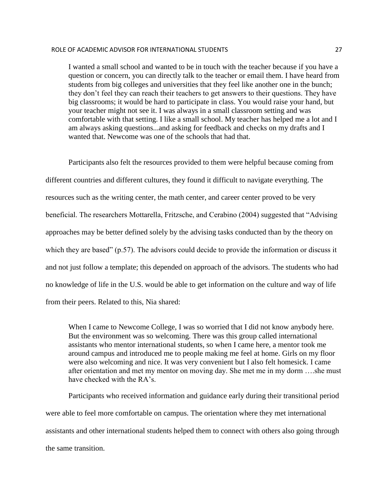#### ROLE OF ACADEMIC ADVISOR FOR INTERNATIONAL STUDENTS **1996 100 CM 2012** 27

I wanted a small school and wanted to be in touch with the teacher because if you have a question or concern, you can directly talk to the teacher or email them. I have heard from students from big colleges and universities that they feel like another one in the bunch; they don't feel they can reach their teachers to get answers to their questions. They have big classrooms; it would be hard to participate in class. You would raise your hand, but your teacher might not see it. I was always in a small classroom setting and was comfortable with that setting. I like a small school. My teacher has helped me a lot and I am always asking questions...and asking for feedback and checks on my drafts and I wanted that. Newcome was one of the schools that had that.

Participants also felt the resources provided to them were helpful because coming from different countries and different cultures, they found it difficult to navigate everything. The resources such as the writing center, the math center, and career center proved to be very beneficial. The researchers Mottarella, Fritzsche, and Cerabino (2004) suggested that "Advising approaches may be better defined solely by the advising tasks conducted than by the theory on which they are based" (p.57). The advisors could decide to provide the information or discuss it and not just follow a template; this depended on approach of the advisors. The students who had no knowledge of life in the U.S. would be able to get information on the culture and way of life from their peers. Related to this, Nia shared:

When I came to Newcome College, I was so worried that I did not know anybody here. But the environment was so welcoming. There was this group called international assistants who mentor international students, so when I came here, a mentor took me around campus and introduced me to people making me feel at home. Girls on my floor were also welcoming and nice. It was very convenient but I also felt homesick. I came after orientation and met my mentor on moving day. She met me in my dorm ….she must have checked with the RA's.

 Participants who received information and guidance early during their transitional period were able to feel more comfortable on campus. The orientation where they met international assistants and other international students helped them to connect with others also going through the same transition.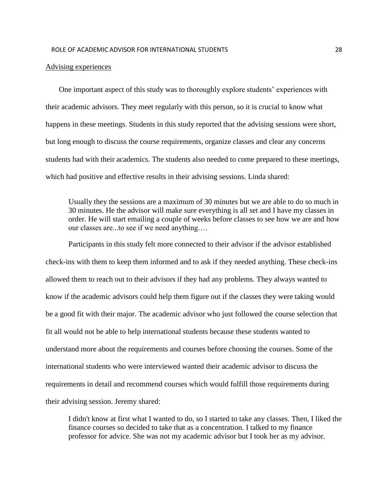#### Advising experiences

 One important aspect of this study was to thoroughly explore students' experiences with their academic advisors. They meet regularly with this person, so it is crucial to know what happens in these meetings. Students in this study reported that the advising sessions were short, but long enough to discuss the course requirements, organize classes and clear any concerns students had with their academics. The students also needed to come prepared to these meetings, which had positive and effective results in their advising sessions. Linda shared:

Usually they the sessions are a maximum of 30 minutes but we are able to do so much in 30 minutes. He the advisor will make sure everything is all set and I have my classes in order. He will start emailing a couple of weeks before classes to see how we are and how our classes are...to see if we need anything….

Participants in this study felt more connected to their advisor if the advisor established check-ins with them to keep them informed and to ask if they needed anything. These check-ins allowed them to reach out to their advisors if they had any problems. They always wanted to know if the academic advisors could help them figure out if the classes they were taking would be a good fit with their major. The academic advisor who just followed the course selection that fit all would not be able to help international students because these students wanted to understand more about the requirements and courses before choosing the courses. Some of the international students who were interviewed wanted their academic advisor to discuss the requirements in detail and recommend courses which would fulfill those requirements during their advising session. Jeremy shared:

I didn't know at first what I wanted to do, so I started to take any classes. Then, I liked the finance courses so decided to take that as a concentration. I talked to my finance professor for advice. She was not my academic advisor but I took her as my advisor.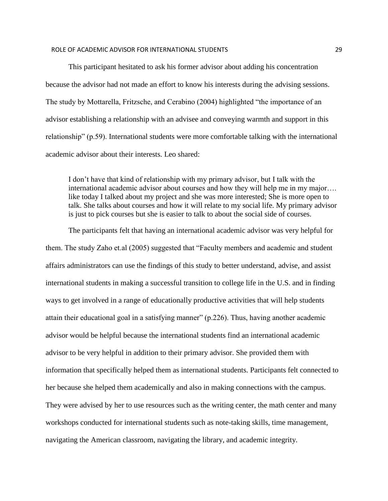#### ROLE OF ACADEMIC ADVISOR FOR INTERNATIONAL STUDENTS 29

This participant hesitated to ask his former advisor about adding his concentration because the advisor had not made an effort to know his interests during the advising sessions. The study by Mottarella, Fritzsche, and Cerabino (2004) highlighted "the importance of an advisor establishing a relationship with an advisee and conveying warmth and support in this relationship" (p.59). International students were more comfortable talking with the international academic advisor about their interests. Leo shared:

I don't have that kind of relationship with my primary advisor, but I talk with the international academic advisor about courses and how they will help me in my major…. like today I talked about my project and she was more interested; She is more open to talk. She talks about courses and how it will relate to my social life. My primary advisor is just to pick courses but she is easier to talk to about the social side of courses.

The participants felt that having an international academic advisor was very helpful for them. The study Zaho et.al (2005) suggested that "Faculty members and academic and student affairs administrators can use the findings of this study to better understand, advise, and assist international students in making a successful transition to college life in the U.S. and in finding ways to get involved in a range of educationally productive activities that will help students attain their educational goal in a satisfying manner" (p.226). Thus, having another academic advisor would be helpful because the international students find an international academic advisor to be very helpful in addition to their primary advisor. She provided them with information that specifically helped them as international students. Participants felt connected to her because she helped them academically and also in making connections with the campus. They were advised by her to use resources such as the writing center, the math center and many workshops conducted for international students such as note-taking skills, time management, navigating the American classroom, navigating the library, and academic integrity.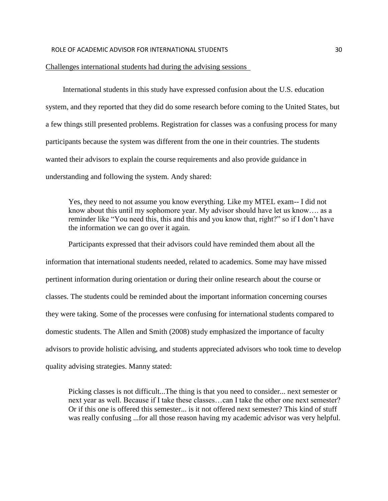#### Challenges international students had during the advising sessions

 International students in this study have expressed confusion about the U.S. education system, and they reported that they did do some research before coming to the United States, but a few things still presented problems. Registration for classes was a confusing process for many participants because the system was different from the one in their countries. The students wanted their advisors to explain the course requirements and also provide guidance in understanding and following the system. Andy shared:

Yes, they need to not assume you know everything. Like my MTEL exam-- I did not know about this until my sophomore year. My advisor should have let us know…. as a reminder like "You need this, this and this and you know that, right?" so if I don't have the information we can go over it again.

Participants expressed that their advisors could have reminded them about all the information that international students needed, related to academics. Some may have missed pertinent information during orientation or during their online research about the course or classes. The students could be reminded about the important information concerning courses they were taking. Some of the processes were confusing for international students compared to domestic students. The Allen and Smith (2008) study emphasized the importance of faculty advisors to provide holistic advising, and students appreciated advisors who took time to develop quality advising strategies. Manny stated:

Picking classes is not difficult...The thing is that you need to consider... next semester or next year as well. Because if I take these classes…can I take the other one next semester? Or if this one is offered this semester... is it not offered next semester? This kind of stuff was really confusing ...for all those reason having my academic advisor was very helpful.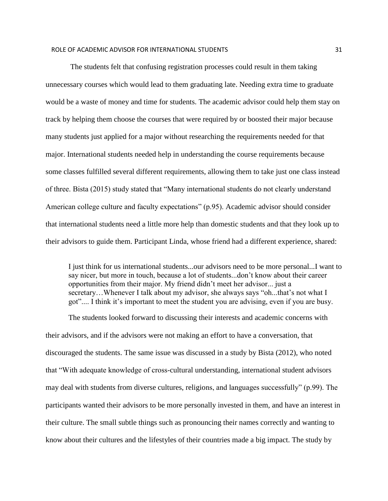The students felt that confusing registration processes could result in them taking unnecessary courses which would lead to them graduating late. Needing extra time to graduate would be a waste of money and time for students. The academic advisor could help them stay on track by helping them choose the courses that were required by or boosted their major because many students just applied for a major without researching the requirements needed for that major. International students needed help in understanding the course requirements because some classes fulfilled several different requirements, allowing them to take just one class instead of three. Bista (2015) study stated that "Many international students do not clearly understand American college culture and faculty expectations" (p.95). Academic advisor should consider that international students need a little more help than domestic students and that they look up to their advisors to guide them. Participant Linda, whose friend had a different experience, shared:

I just think for us international students...our advisors need to be more personal...I want to say nicer, but more in touch, because a lot of students...don't know about their career opportunities from their major. My friend didn't meet her advisor... just a secretary…Whenever I talk about my advisor, she always says "oh...that's not what I got".... I think it's important to meet the student you are advising, even if you are busy.

 The students looked forward to discussing their interests and academic concerns with their advisors, and if the advisors were not making an effort to have a conversation, that discouraged the students. The same issue was discussed in a study by Bista (2012), who noted that "With adequate knowledge of cross-cultural understanding, international student advisors may deal with students from diverse cultures, religions, and languages successfully" (p.99). The participants wanted their advisors to be more personally invested in them, and have an interest in their culture. The small subtle things such as pronouncing their names correctly and wanting to know about their cultures and the lifestyles of their countries made a big impact. The study by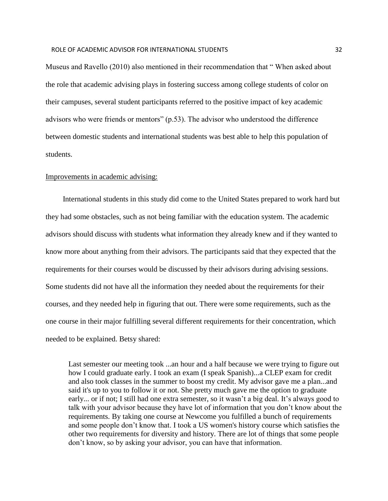Museus and Ravello (2010) also mentioned in their recommendation that " When asked about the role that academic advising plays in fostering success among college students of color on their campuses, several student participants referred to the positive impact of key academic advisors who were friends or mentors" (p.53). The advisor who understood the difference between domestic students and international students was best able to help this population of students.

#### Improvements in academic advising:

 International students in this study did come to the United States prepared to work hard but they had some obstacles, such as not being familiar with the education system. The academic advisors should discuss with students what information they already knew and if they wanted to know more about anything from their advisors. The participants said that they expected that the requirements for their courses would be discussed by their advisors during advising sessions. Some students did not have all the information they needed about the requirements for their courses, and they needed help in figuring that out. There were some requirements, such as the one course in their major fulfilling several different requirements for their concentration, which needed to be explained. Betsy shared:

Last semester our meeting took ...an hour and a half because we were trying to figure out how I could graduate early. I took an exam (I speak Spanish)...a CLEP exam for credit and also took classes in the summer to boost my credit. My advisor gave me a plan...and said it's up to you to follow it or not. She pretty much gave me the option to graduate early... or if not; I still had one extra semester, so it wasn't a big deal. It's always good to talk with your advisor because they have lot of information that you don't know about the requirements. By taking one course at Newcome you fulfilled a bunch of requirements and some people don't know that. I took a US women's history course which satisfies the other two requirements for diversity and history. There are lot of things that some people don't know, so by asking your advisor, you can have that information.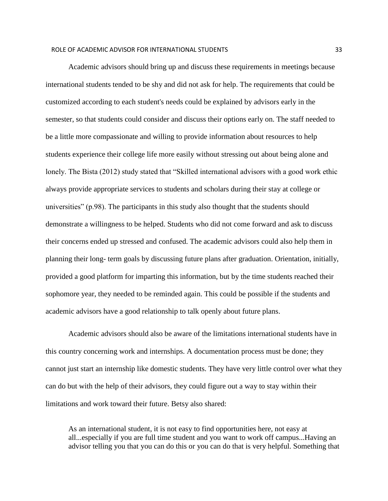Academic advisors should bring up and discuss these requirements in meetings because international students tended to be shy and did not ask for help. The requirements that could be customized according to each student's needs could be explained by advisors early in the semester, so that students could consider and discuss their options early on. The staff needed to be a little more compassionate and willing to provide information about resources to help students experience their college life more easily without stressing out about being alone and lonely. The Bista (2012) study stated that "Skilled international advisors with a good work ethic always provide appropriate services to students and scholars during their stay at college or universities" (p.98). The participants in this study also thought that the students should demonstrate a willingness to be helped. Students who did not come forward and ask to discuss their concerns ended up stressed and confused. The academic advisors could also help them in planning their long- term goals by discussing future plans after graduation. Orientation, initially, provided a good platform for imparting this information, but by the time students reached their sophomore year, they needed to be reminded again. This could be possible if the students and academic advisors have a good relationship to talk openly about future plans.

 Academic advisors should also be aware of the limitations international students have in this country concerning work and internships. A documentation process must be done; they cannot just start an internship like domestic students. They have very little control over what they can do but with the help of their advisors, they could figure out a way to stay within their limitations and work toward their future. Betsy also shared:

As an international student, it is not easy to find opportunities here, not easy at all...especially if you are full time student and you want to work off campus...Having an advisor telling you that you can do this or you can do that is very helpful. Something that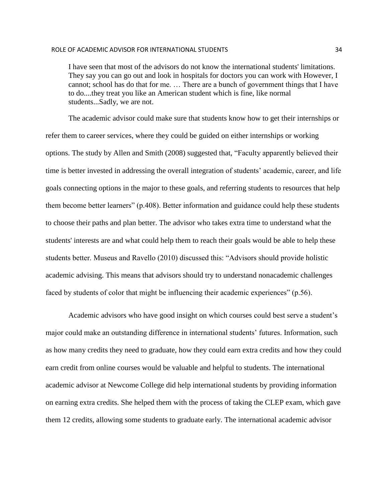#### ROLE OF ACADEMIC ADVISOR FOR INTERNATIONAL STUDENTS AND THE STATE RESEARCH TO A 34

I have seen that most of the advisors do not know the international students' limitations. They say you can go out and look in hospitals for doctors you can work with However, I cannot; school has do that for me. … There are a bunch of government things that I have to do....they treat you like an American student which is fine, like normal students...Sadly, we are not.

 The academic advisor could make sure that students know how to get their internships or refer them to career services, where they could be guided on either internships or working options. The study by Allen and Smith (2008) suggested that, "Faculty apparently believed their time is better invested in addressing the overall integration of students' academic, career, and life goals connecting options in the major to these goals, and referring students to resources that help them become better learners" (p.408). Better information and guidance could help these students to choose their paths and plan better. The advisor who takes extra time to understand what the students' interests are and what could help them to reach their goals would be able to help these students better. Museus and Ravello (2010) discussed this: "Advisors should provide holistic academic advising. This means that advisors should try to understand nonacademic challenges faced by students of color that might be influencing their academic experiences" (p.56).

 Academic advisors who have good insight on which courses could best serve a student's major could make an outstanding difference in international students' futures. Information, such as how many credits they need to graduate, how they could earn extra credits and how they could earn credit from online courses would be valuable and helpful to students. The international academic advisor at Newcome College did help international students by providing information on earning extra credits. She helped them with the process of taking the CLEP exam, which gave them 12 credits, allowing some students to graduate early. The international academic advisor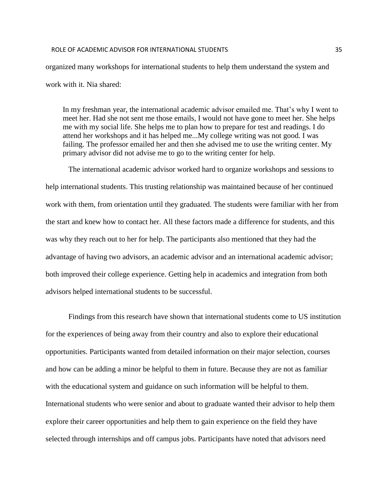#### ROLE OF ACADEMIC ADVISOR FOR INTERNATIONAL STUDENTS **35**

organized many workshops for international students to help them understand the system and work with it. Nia shared:

In my freshman year, the international academic advisor emailed me. That's why I went to meet her. Had she not sent me those emails, I would not have gone to meet her. She helps me with my social life. She helps me to plan how to prepare for test and readings. I do attend her workshops and it has helped me...My college writing was not good. I was failing. The professor emailed her and then she advised me to use the writing center. My primary advisor did not advise me to go to the writing center for help.

 The international academic advisor worked hard to organize workshops and sessions to help international students. This trusting relationship was maintained because of her continued work with them, from orientation until they graduated. The students were familiar with her from the start and knew how to contact her. All these factors made a difference for students, and this was why they reach out to her for help. The participants also mentioned that they had the advantage of having two advisors, an academic advisor and an international academic advisor; both improved their college experience. Getting help in academics and integration from both advisors helped international students to be successful.

Findings from this research have shown that international students come to US institution for the experiences of being away from their country and also to explore their educational opportunities. Participants wanted from detailed information on their major selection, courses and how can be adding a minor be helpful to them in future. Because they are not as familiar with the educational system and guidance on such information will be helpful to them. International students who were senior and about to graduate wanted their advisor to help them explore their career opportunities and help them to gain experience on the field they have selected through internships and off campus jobs. Participants have noted that advisors need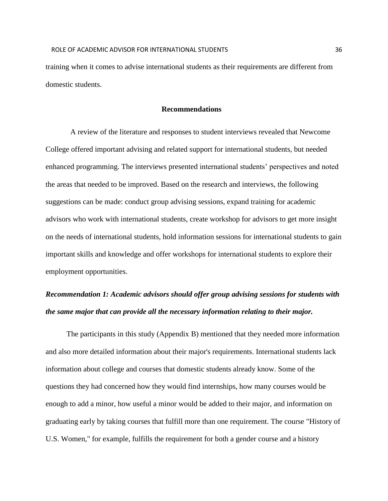training when it comes to advise international students as their requirements are different from domestic students.

#### **Recommendations**

 A review of the literature and responses to student interviews revealed that Newcome College offered important advising and related support for international students, but needed enhanced programming. The interviews presented international students' perspectives and noted the areas that needed to be improved. Based on the research and interviews, the following suggestions can be made: conduct group advising sessions, expand training for academic advisors who work with international students, create workshop for advisors to get more insight on the needs of international students, hold information sessions for international students to gain important skills and knowledge and offer workshops for international students to explore their employment opportunities.

## *Recommendation 1: Academic advisors should offer group advising sessions for students with the same major that can provide all the necessary information relating to their major.*

 The participants in this study (Appendix B) mentioned that they needed more information and also more detailed information about their major's requirements. International students lack information about college and courses that domestic students already know. Some of the questions they had concerned how they would find internships, how many courses would be enough to add a minor, how useful a minor would be added to their major, and information on graduating early by taking courses that fulfill more than one requirement. The course "History of U.S. Women," for example, fulfills the requirement for both a gender course and a history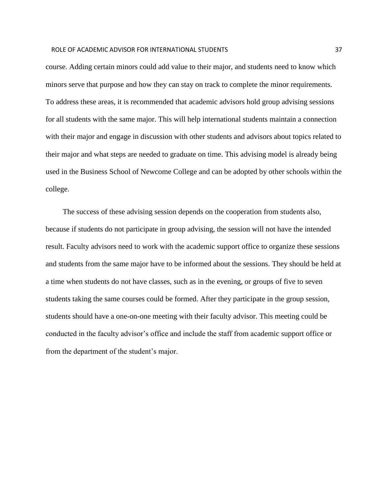#### ROLE OF ACADEMIC ADVISOR FOR INTERNATIONAL STUDENTS **37**

course. Adding certain minors could add value to their major, and students need to know which minors serve that purpose and how they can stay on track to complete the minor requirements. To address these areas, it is recommended that academic advisors hold group advising sessions for all students with the same major. This will help international students maintain a connection with their major and engage in discussion with other students and advisors about topics related to their major and what steps are needed to graduate on time. This advising model is already being used in the Business School of Newcome College and can be adopted by other schools within the college.

 The success of these advising session depends on the cooperation from students also, because if students do not participate in group advising, the session will not have the intended result. Faculty advisors need to work with the academic support office to organize these sessions and students from the same major have to be informed about the sessions. They should be held at a time when students do not have classes, such as in the evening, or groups of five to seven students taking the same courses could be formed. After they participate in the group session, students should have a one-on-one meeting with their faculty advisor. This meeting could be conducted in the faculty advisor's office and include the staff from academic support office or from the department of the student's major.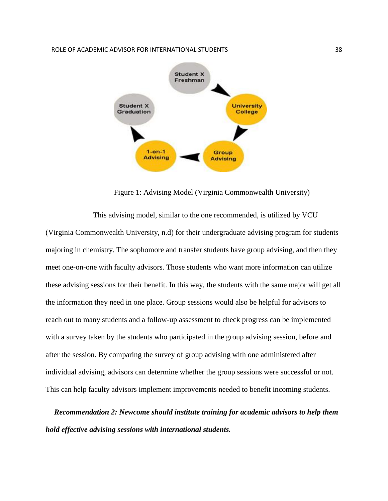#### ROLE OF ACADEMIC ADVISOR FOR INTERNATIONAL STUDENTS **ALCORATIONS ASSESSED ASSESSED** 38



Figure 1: Advising Model (Virginia Commonwealth University)

 This advising model, similar to the one recommended, is utilized by VCU (Virginia Commonwealth University, n.d) for their undergraduate advising program for students majoring in chemistry. The sophomore and transfer students have group advising, and then they meet one-on-one with faculty advisors. Those students who want more information can utilize these advising sessions for their benefit. In this way, the students with the same major will get all the information they need in one place. Group sessions would also be helpful for advisors to reach out to many students and a follow-up assessment to check progress can be implemented with a survey taken by the students who participated in the group advising session, before and after the session. By comparing the survey of group advising with one administered after individual advising, advisors can determine whether the group sessions were successful or not. This can help faculty advisors implement improvements needed to benefit incoming students.

*Recommendation 2: Newcome should institute training for academic advisors to help them hold effective advising sessions with international students.*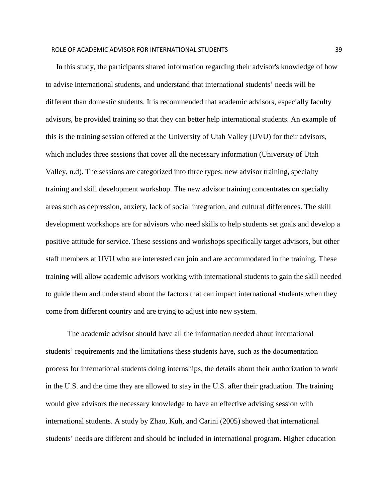In this study, the participants shared information regarding their advisor's knowledge of how to advise international students, and understand that international students' needs will be different than domestic students. It is recommended that academic advisors, especially faculty advisors, be provided training so that they can better help international students. An example of this is the training session offered at the University of Utah Valley (UVU) for their advisors, which includes three sessions that cover all the necessary information (University of Utah Valley, n.d). The sessions are categorized into three types: new advisor training, specialty training and skill development workshop. The new advisor training concentrates on specialty areas such as depression, anxiety, lack of social integration, and cultural differences. The skill development workshops are for advisors who need skills to help students set goals and develop a positive attitude for service. These sessions and workshops specifically target advisors, but other staff members at UVU who are interested can join and are accommodated in the training. These training will allow academic advisors working with international students to gain the skill needed to guide them and understand about the factors that can impact international students when they come from different country and are trying to adjust into new system.

 The academic advisor should have all the information needed about international students' requirements and the limitations these students have, such as the documentation process for international students doing internships, the details about their authorization to work in the U.S. and the time they are allowed to stay in the U.S. after their graduation. The training would give advisors the necessary knowledge to have an effective advising session with international students. A study by Zhao, Kuh, and Carini (2005) showed that international students' needs are different and should be included in international program. Higher education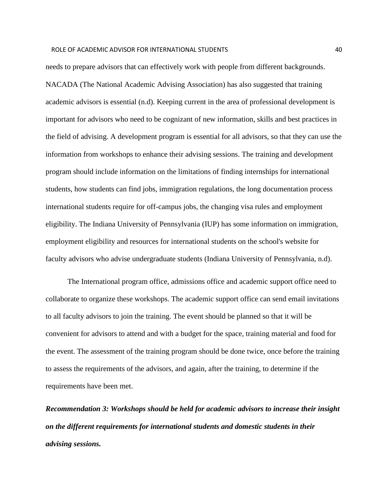needs to prepare advisors that can effectively work with people from different backgrounds. NACADA (The National Academic Advising Association) has also suggested that training academic advisors is essential (n.d). Keeping current in the area of professional development is important for advisors who need to be cognizant of new information, skills and best practices in the field of advising. A development program is essential for all advisors, so that they can use the information from workshops to enhance their advising sessions. The training and development program should include information on the limitations of finding internships for international students, how students can find jobs, immigration regulations, the long documentation process international students require for off-campus jobs, the changing visa rules and employment eligibility. The Indiana University of Pennsylvania (IUP) has some information on immigration, employment eligibility and resources for international students on the school's website for faculty advisors who advise undergraduate students (Indiana University of Pennsylvania, n.d).

 The International program office, admissions office and academic support office need to collaborate to organize these workshops. The academic support office can send email invitations to all faculty advisors to join the training. The event should be planned so that it will be convenient for advisors to attend and with a budget for the space, training material and food for the event. The assessment of the training program should be done twice, once before the training to assess the requirements of the advisors, and again, after the training, to determine if the requirements have been met.

*Recommendation 3: Workshops should be held for academic advisors to increase their insight on the different requirements for international students and domestic students in their advising sessions.*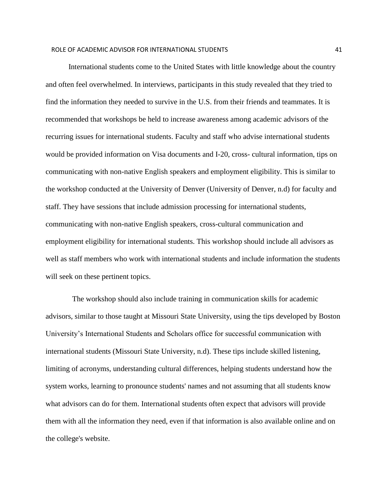International students come to the United States with little knowledge about the country and often feel overwhelmed. In interviews, participants in this study revealed that they tried to find the information they needed to survive in the U.S. from their friends and teammates. It is recommended that workshops be held to increase awareness among academic advisors of the recurring issues for international students. Faculty and staff who advise international students would be provided information on Visa documents and I-20, cross- cultural information, tips on communicating with non-native English speakers and employment eligibility. This is similar to the workshop conducted at the University of Denver (University of Denver, n.d) for faculty and staff. They have sessions that include admission processing for international students, communicating with non-native English speakers, cross-cultural communication and employment eligibility for international students. This workshop should include all advisors as well as staff members who work with international students and include information the students will seek on these pertinent topics.

 The workshop should also include training in communication skills for academic advisors, similar to those taught at Missouri State University, using the tips developed by Boston University's International Students and Scholars office for successful communication with international students (Missouri State University, n.d). These tips include skilled listening, limiting of acronyms, understanding cultural differences, helping students understand how the system works, learning to pronounce students' names and not assuming that all students know what advisors can do for them. International students often expect that advisors will provide them with all the information they need, even if that information is also available online and on the college's website.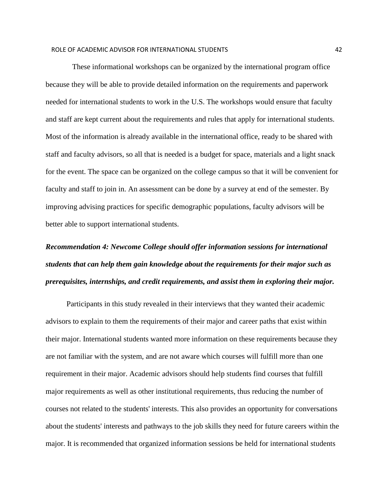These informational workshops can be organized by the international program office because they will be able to provide detailed information on the requirements and paperwork needed for international students to work in the U.S. The workshops would ensure that faculty and staff are kept current about the requirements and rules that apply for international students. Most of the information is already available in the international office, ready to be shared with staff and faculty advisors, so all that is needed is a budget for space, materials and a light snack for the event. The space can be organized on the college campus so that it will be convenient for faculty and staff to join in. An assessment can be done by a survey at end of the semester. By improving advising practices for specific demographic populations, faculty advisors will be better able to support international students.

# *Recommendation 4: Newcome College should offer information sessions for international students that can help them gain knowledge about the requirements for their major such as prerequisites, internships, and credit requirements, and assist them in exploring their major.*

 Participants in this study revealed in their interviews that they wanted their academic advisors to explain to them the requirements of their major and career paths that exist within their major. International students wanted more information on these requirements because they are not familiar with the system, and are not aware which courses will fulfill more than one requirement in their major. Academic advisors should help students find courses that fulfill major requirements as well as other institutional requirements, thus reducing the number of courses not related to the students' interests. This also provides an opportunity for conversations about the students' interests and pathways to the job skills they need for future careers within the major. It is recommended that organized information sessions be held for international students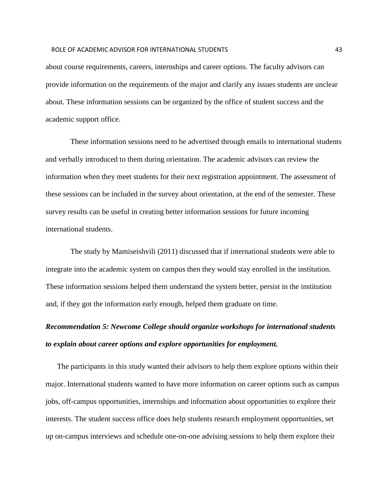#### ROLE OF ACADEMIC ADVISOR FOR INTERNATIONAL STUDENTS 43

about course requirements, careers, internships and career options. The faculty advisors can provide information on the requirements of the major and clarify any issues students are unclear about. These information sessions can be organized by the office of student success and the academic support office.

 These information sessions need to be advertised through emails to international students and verbally introduced to them during orientation. The academic advisors can review the information when they meet students for their next registration appointment. The assessment of these sessions can be included in the survey about orientation, at the end of the semester. These survey results can be useful in creating better information sessions for future incoming international students.

 The study by Mamiseishvili (2011) discussed that if international students were able to integrate into the academic system on campus then they would stay enrolled in the institution. These information sessions helped them understand the system better, persist in the institution and, if they got the information early enough, helped them graduate on time.

## *Recommendation 5: Newcome College should organize workshops for international students to explain about career options and explore opportunities for employment.*

 The participants in this study wanted their advisors to help them explore options within their major. International students wanted to have more information on career options such as campus jobs, off-campus opportunities, internships and information about opportunities to explore their interests. The student success office does help students research employment opportunities, set up on-campus interviews and schedule one-on-one advising sessions to help them explore their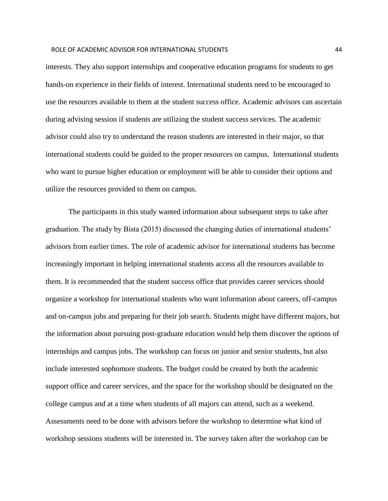#### ROLE OF ACADEMIC ADVISOR FOR INTERNATIONAL STUDENTS AND A 44 AM AND THE RESEAL OF A 44

interests. They also support internships and cooperative education programs for students to get hands-on experience in their fields of interest. International students need to be encouraged to use the resources available to them at the student success office. Academic advisors can ascertain during advising session if students are utilizing the student success services. The academic advisor could also try to understand the reason students are interested in their major, so that international students could be guided to the proper resources on campus. International students who want to pursue higher education or employment will be able to consider their options and utilize the resources provided to them on campus.

 The participants in this study wanted information about subsequent steps to take after graduation. The study by Bista (2015) discussed the changing duties of international students' advisors from earlier times. The role of academic advisor for international students has become increasingly important in helping international students access all the resources available to them. It is recommended that the student success office that provides career services should organize a workshop for international students who want information about careers, off-campus and on-campus jobs and preparing for their job search. Students might have different majors, but the information about pursuing post-graduate education would help them discover the options of internships and campus jobs. The workshop can focus on junior and senior students, but also include interested sophomore students. The budget could be created by both the academic support office and career services, and the space for the workshop should be designated on the college campus and at a time when students of all majors can attend, such as a weekend. Assessments need to be done with advisors before the workshop to determine what kind of workshop sessions students will be interested in. The survey taken after the workshop can be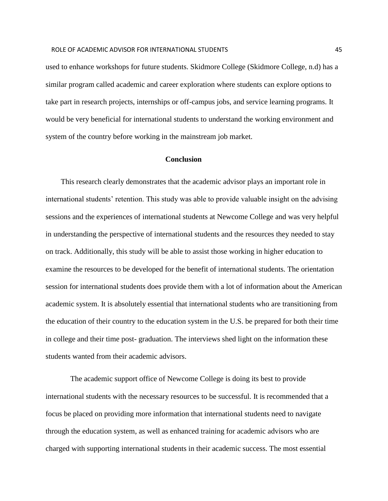used to enhance workshops for future students. Skidmore College (Skidmore College, n.d) has a similar program called academic and career exploration where students can explore options to take part in research projects, internships or off-campus jobs, and service learning programs. It would be very beneficial for international students to understand the working environment and system of the country before working in the mainstream job market.

#### **Conclusion**

This research clearly demonstrates that the academic advisor plays an important role in international students' retention. This study was able to provide valuable insight on the advising sessions and the experiences of international students at Newcome College and was very helpful in understanding the perspective of international students and the resources they needed to stay on track. Additionally, this study will be able to assist those working in higher education to examine the resources to be developed for the benefit of international students. The orientation session for international students does provide them with a lot of information about the American academic system. It is absolutely essential that international students who are transitioning from the education of their country to the education system in the U.S. be prepared for both their time in college and their time post- graduation. The interviews shed light on the information these students wanted from their academic advisors.

 The academic support office of Newcome College is doing its best to provide international students with the necessary resources to be successful. It is recommended that a focus be placed on providing more information that international students need to navigate through the education system, as well as enhanced training for academic advisors who are charged with supporting international students in their academic success. The most essential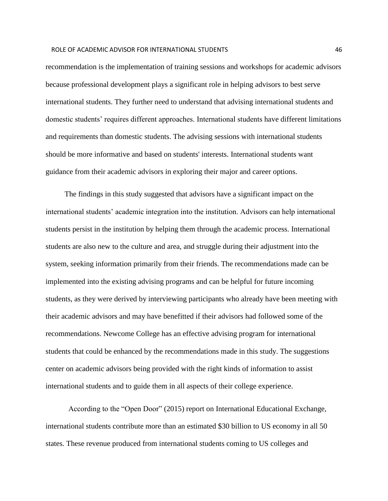#### ROLE OF ACADEMIC ADVISOR FOR INTERNATIONAL STUDENTS 46

recommendation is the implementation of training sessions and workshops for academic advisors because professional development plays a significant role in helping advisors to best serve international students. They further need to understand that advising international students and domestic students' requires different approaches. International students have different limitations and requirements than domestic students. The advising sessions with international students should be more informative and based on students' interests. International students want guidance from their academic advisors in exploring their major and career options.

 The findings in this study suggested that advisors have a significant impact on the international students' academic integration into the institution. Advisors can help international students persist in the institution by helping them through the academic process. International students are also new to the culture and area, and struggle during their adjustment into the system, seeking information primarily from their friends. The recommendations made can be implemented into the existing advising programs and can be helpful for future incoming students, as they were derived by interviewing participants who already have been meeting with their academic advisors and may have benefitted if their advisors had followed some of the recommendations. Newcome College has an effective advising program for international students that could be enhanced by the recommendations made in this study. The suggestions center on academic advisors being provided with the right kinds of information to assist international students and to guide them in all aspects of their college experience.

 According to the "Open Door" (2015) report on International Educational Exchange, international students contribute more than an estimated \$30 billion to US economy in all 50 states. These revenue produced from international students coming to US colleges and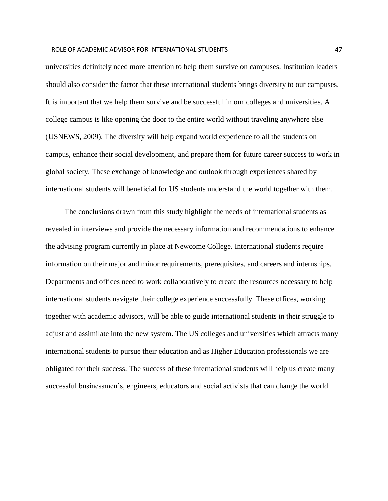#### ROLE OF ACADEMIC ADVISOR FOR INTERNATIONAL STUDENTS AND A 47 AM AND A 47

universities definitely need more attention to help them survive on campuses. Institution leaders should also consider the factor that these international students brings diversity to our campuses. It is important that we help them survive and be successful in our colleges and universities. A college campus is like opening the door to the entire world without traveling anywhere else (USNEWS, 2009). The diversity will help expand world experience to all the students on campus, enhance their social development, and prepare them for future career success to work in global society. These exchange of knowledge and outlook through experiences shared by international students will beneficial for US students understand the world together with them.

 The conclusions drawn from this study highlight the needs of international students as revealed in interviews and provide the necessary information and recommendations to enhance the advising program currently in place at Newcome College. International students require information on their major and minor requirements, prerequisites, and careers and internships. Departments and offices need to work collaboratively to create the resources necessary to help international students navigate their college experience successfully. These offices, working together with academic advisors, will be able to guide international students in their struggle to adjust and assimilate into the new system. The US colleges and universities which attracts many international students to pursue their education and as Higher Education professionals we are obligated for their success. The success of these international students will help us create many successful businessmen's, engineers, educators and social activists that can change the world.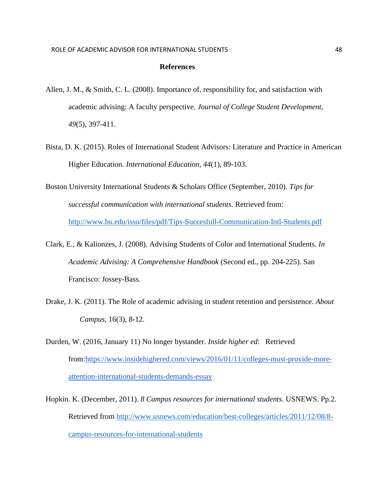#### **References**

- Allen, J. M., & Smith, C. L. (2008). Importance of, responsibility for, and satisfaction with academic advising: A faculty perspective. *Journal of College Student Development, 49*(5), 397-411.
- Bista, D. K. (2015). Roles of International Student Advisors: Literature and Practice in American Higher Education. *International Education*, *44*(1), 89-103.
- Boston University International Students & Scholars Office (September, 2010). *Tips for successful communication with international students*. Retrieved from: <http://www.bu.edu/isso/files/pdf/Tips-Succesfull-Communication-Intl-Students.pdf>
- Clark, E., & Kalionzes, J. (2008). Advising Students of Color and International Students. *In Academic Advising: A Comprehensive Handbook* (Second ed., pp. 204-225). San Francisco: Jossey-Bass.
- Drake, J. K. (2011). The Role of academic advising in student retention and persistence. *About Campus*, 16(3), 8-12.
- Durden, W. (2016, January 11) No longer bystander. *Inside higher ed*: Retrieved from[:https://www.insidehighered.com/views/2016/01/11/colleges-must-provide-more](https://www.insidehighered.com/views/2016/01/11/colleges-must-provide-more-attention-international-students-demands-essay)[attention-international-students-demands-essay](https://www.insidehighered.com/views/2016/01/11/colleges-must-provide-more-attention-international-students-demands-essay)
- Hopkin. K. (December, 2011). *8 Campus resources for international students*. USNEWS. Pp.2. Retrieved from [http://www.usnews.com/education/best-colleges/articles/2011/12/08/8](http://www.usnews.com/education/best-colleges/articles/2011/12/08/8-campus-resources-for-international-students) [campus-resources-for-international-students](http://www.usnews.com/education/best-colleges/articles/2011/12/08/8-campus-resources-for-international-students)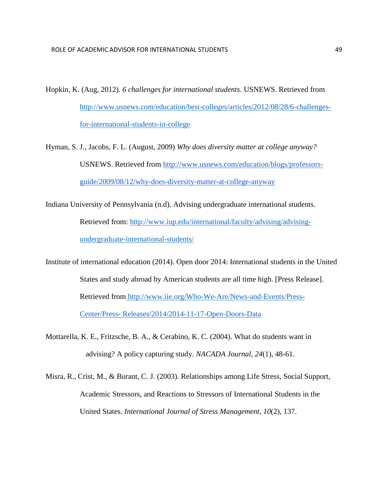- Hopkin, K. (Aug, 2012). *6 challenges for international students*. USNEWS. Retrieved from [http://www.usnews.com/education/best-colleges/articles/2012/08/28/6-challenges](http://www.usnews.com/education/best-colleges/articles/2012/08/28/6-challenges-for-international-students-in-college)[for-international-students-in-college](http://www.usnews.com/education/best-colleges/articles/2012/08/28/6-challenges-for-international-students-in-college)
- Hyman, S. J., Jacobs, F. L. (August, 2009) *Why does diversity matter at college anyway?* USNEWS. Retrieved from [http://www.usnews.com/education/blogs/professors](http://www.usnews.com/education/blogs/professors-guide/2009/08/12/why-does-diversity-matter-at-college-anyway)[guide/2009/08/12/why-does-diversity-matter-at-college-anyway](http://www.usnews.com/education/blogs/professors-guide/2009/08/12/why-does-diversity-matter-at-college-anyway)
- Indiana University of Pennsylvania (n.d). Advising undergraduate international students. Retrieved from: [http://www.iup.edu/international/faculty/advising/advising](http://www.iup.edu/international/faculty/advising/advising-undergraduate-international-students/)[undergraduate-international-students/](http://www.iup.edu/international/faculty/advising/advising-undergraduate-international-students/)
- Institute of international education (2014). Open door 2014: International students in the United States and study abroad by American students are all time high. [Press Release]. Retrieved from [http://www.iie.org/Who-We-Are/News-and-Events/Press-](http://www.iie.org/Who-We-Are/News-and-Events/Press-Center/Press-%20Releases/2014/2014-11-17-Open-Doors-Data)Center/Press- [Releases/2014/2014-11-17-Open-Doors-Data](http://www.iie.org/Who-We-Are/News-and-Events/Press-Center/Press-%20Releases/2014/2014-11-17-Open-Doors-Data)
- Mottarella, K. E., Fritzsche, B. A., & Cerabino, K. C. (2004). What do students want in advising? A policy capturing study. *NACADA Journal*, *24*(1), 48-61.
- Misra, R., Crist, M., & Burant, C. J. (2003). Relationships among Life Stress, Social Support, Academic Stressors, and Reactions to Stressors of International Students in the United States. *International Journal of Stress Management*, *10*(2), 137.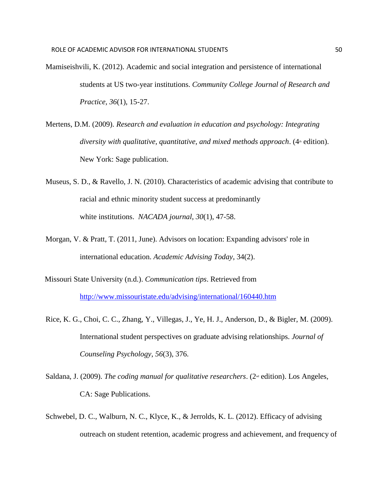- Mamiseishvili, K. (2012). Academic and social integration and persistence of international students at US two-year institutions. *Community College Journal of Research and Practice, 36*(1), 15-27.
- Mertens, D.M. (2009). *Research and evaluation in education and psychology: Integrating diversity with qualitative, quantitative, and mixed methods approach.* (4<sup>th</sup> edition). New York: Sage publication.
- Museus, S. D., & Ravello, J. N. (2010). Characteristics of academic advising that contribute to racial and ethnic minority student success at predominantly white institutions. *NACADA journal*, *30*(1), 47-58.
- Morgan, V. & Pratt, T. (2011, June). Advisors on location: Expanding advisors' role in international education. *Academic Advising Today*, 34(2).
- Missouri State University (n.d.). *Communication tips*. Retrieved from <http://www.missouristate.edu/advising/international/160440.htm>
- Rice, K. G., Choi, C. C., Zhang, Y., Villegas, J., Ye, H. J., Anderson, D., & Bigler, M. (2009). International student perspectives on graduate advising relationships. *Journal of Counseling Psychology*, *56*(3), 376.
- Saldana, J. (2009). *The coding manual for qualitative researchers*. (2<sup>nd</sup> edition). Los Angeles, CA: Sage Publications.
- Schwebel, D. C., Walburn, N. C., Klyce, K., & Jerrolds, K. L. (2012). Efficacy of advising outreach on student retention, academic progress and achievement, and frequency of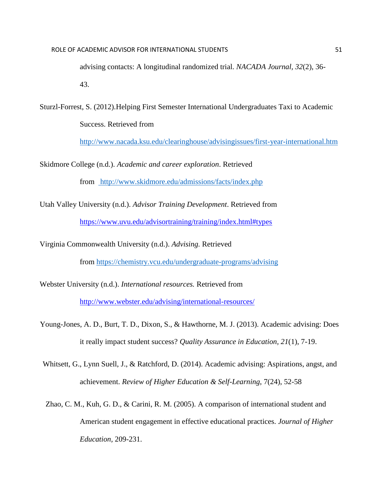advising contacts: A longitudinal randomized trial. *NACADA Journal, 32*(2), 36- 43.

Sturzl-Forrest, S. (2012).Helping First Semester International Undergraduates Taxi to Academic Success. Retrieved from

[http://www.nacada.ksu.edu/clearinghouse/advisingissues/first-year-international.htm](https://www.nacada.ksu.edu/tabid/3318/articleType/ArticleView/articleId/139/article.aspx)

Skidmore College (n.d.). *Academic and career exploration*. Retrieved from <http://www.skidmore.edu/admissions/facts/index.php>

Utah Valley University (n.d.). *Advisor Training Development*. Retrieved from <https://www.uvu.edu/advisortraining/training/index.html#types>

Virginia Commonwealth University (n.d.). *Advising.* Retrieved

from [https://chemistry.vcu.edu/undergraduate-programs/advising](https://chemistry.vcu.edu/undergraduate-programs/advising/)

Webster University (n.d.). *International resources.* Retrieved fro[m](http://www.webster.edu/advising/international-resources/) <http://www.webster.edu/advising/international-resources/>

- Young-Jones, A. D., Burt, T. D., Dixon, S., & Hawthorne, M. J. (2013). Academic advising: Does it really impact student success? *Quality Assurance in Education, 21*(1), 7-19.
- Whitsett, G., Lynn Suell, J., & Ratchford, D. (2014). Academic advising: Aspirations, angst, and achievement. *Review of Higher Education & Self-Learning*, 7(24), 52-58
- Zhao, C. M., Kuh, G. D., & Carini, R. M. (2005). A comparison of international student and American student engagement in effective educational practices. *Journal of Higher Education,* 209-231.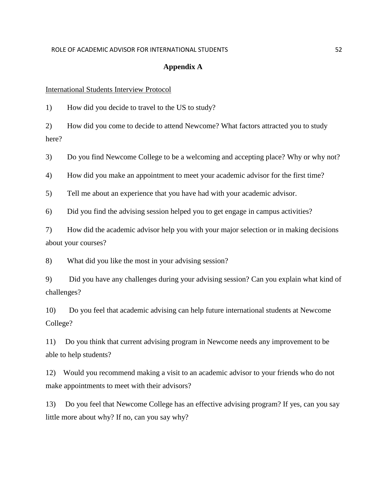#### ROLE OF ACADEMIC ADVISOR FOR INTERNATIONAL STUDENTS **FOR A SET ASSAULT** STUDENTS

#### **Appendix A**

#### International Students Interview Protocol

1) How did you decide to travel to the US to study?

2) How did you come to decide to attend Newcome? What factors attracted you to study here?

3) Do you find Newcome College to be a welcoming and accepting place? Why or why not?

4) How did you make an appointment to meet your academic advisor for the first time?

5) Tell me about an experience that you have had with your academic advisor.

6) Did you find the advising session helped you to get engage in campus activities?

7) How did the academic advisor help you with your major selection or in making decisions about your courses?

8) What did you like the most in your advising session?

9) Did you have any challenges during your advising session? Can you explain what kind of challenges?

10) Do you feel that academic advising can help future international students at Newcome College?

11) Do you think that current advising program in Newcome needs any improvement to be able to help students?

12) Would you recommend making a visit to an academic advisor to your friends who do not make appointments to meet with their advisors?

13) Do you feel that Newcome College has an effective advising program? If yes, can you say little more about why? If no, can you say why?